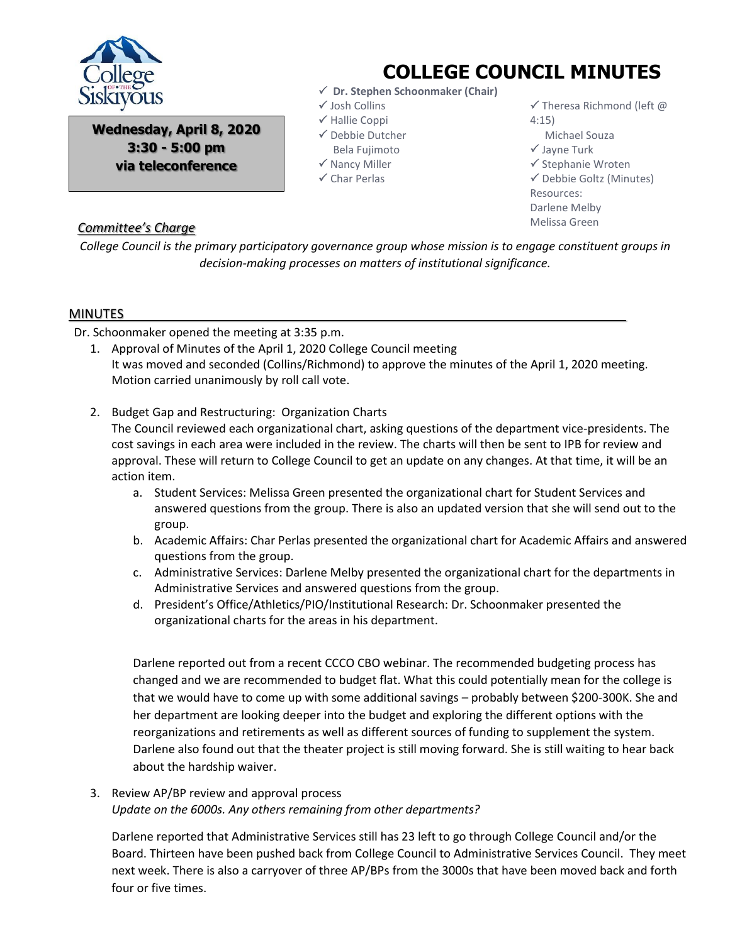

**Wednesday, April 8, 2020 3:30 - 5:00 pm via teleconference**

## **COLLEGE COUNCIL MINUTES**

- **Dr. Stephen Schoonmaker (Chair)**
- Josh Collins
- $\checkmark$  Hallie Coppi
- Debbie Dutcher Bela Fujimoto
- $\checkmark$  Nancy Miller
- $\checkmark$  Char Perlas

 $\checkmark$  Theresa Richmond (left @ 4:15)

- Michael Souza
- Jayne Turk
- $\checkmark$  Stephanie Wroten

 $\checkmark$  Debbie Goltz (Minutes) Resources: Darlene Melby Melissa Green

## *Committee's Charge*

*College Council is the primary participatory governance group whose mission is to engage constituent groups in decision-making processes on matters of institutional significance.*

## MINUTES

Dr. Schoonmaker opened the meeting at 3:35 p.m.

- 1. Approval of Minutes of the April 1, 2020 College Council meeting It was moved and seconded (Collins/Richmond) to approve the minutes of the April 1, 2020 meeting. Motion carried unanimously by roll call vote.
- 2. Budget Gap and Restructuring: Organization Charts

The Council reviewed each organizational chart, asking questions of the department vice-presidents. The cost savings in each area were included in the review. The charts will then be sent to IPB for review and approval. These will return to College Council to get an update on any changes. At that time, it will be an action item.

- a. Student Services: Melissa Green presented the organizational chart for Student Services and answered questions from the group. There is also an updated version that she will send out to the group.
- b. Academic Affairs: Char Perlas presented the organizational chart for Academic Affairs and answered questions from the group.
- c. Administrative Services: Darlene Melby presented the organizational chart for the departments in Administrative Services and answered questions from the group.
- d. President's Office/Athletics/PIO/Institutional Research: Dr. Schoonmaker presented the organizational charts for the areas in his department.

Darlene reported out from a recent CCCO CBO webinar. The recommended budgeting process has changed and we are recommended to budget flat. What this could potentially mean for the college is that we would have to come up with some additional savings – probably between \$200-300K. She and her department are looking deeper into the budget and exploring the different options with the reorganizations and retirements as well as different sources of funding to supplement the system. Darlene also found out that the theater project is still moving forward. She is still waiting to hear back about the hardship waiver.

3. Review AP/BP review and approval process *Update on the 6000s. Any others remaining from other departments?*

Darlene reported that Administrative Services still has 23 left to go through College Council and/or the Board. Thirteen have been pushed back from College Council to Administrative Services Council. They meet next week. There is also a carryover of three AP/BPs from the 3000s that have been moved back and forth four or five times.